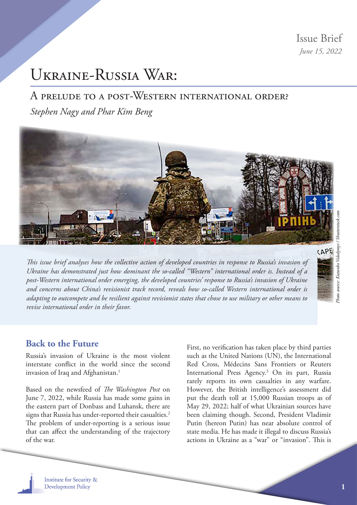Issue Brief *June 15, 2022*

# Ukraine-Russia War:

## A prelude to a post-Western international order?

*Stephen Nagy and Phar Kim Beng*



*This issue brief analyses how the collective action of developed countries in response to Russia's invasion of Ukraine has demonstrated just how dominant the so-called "Western" international order is. Instead of a post-Western international order emerging, the developed countries' response to Russia's invasion of Ukraine and concerns about China's revisionist track record, reveals how so-called Western international order is adapting to outcompete and be resilient against revisionist states that chose to use military or other means to revise international order in their favor.*

CAPE

#### **Back to the Future**

Russia's invasion of Ukraine is the most violent interstate conflict in the world since the second invasion of Iraq and Afghanistan.<sup>1</sup>

Based on the newsfeed of *The Washington Post* on June 7, 2022, while Russia has made some gains in the eastern part of Donbass and Luhansk, there are signs that Russia has under-reported their casualties.<sup>2</sup> The problem of under-reporting is a serious issue that can affect the understanding of the trajectory of the war.

First, no verification has taken place by third parties such as the United Nations (UN), the International Red Cross, Médecins Sans Frontiers or Reuters International Press Agency.3 On its part, Russia rarely reports its own casualties in any warfare. However, the British intelligence's assessment did put the death toll at 15,000 Russian troops as of May 29, 2022; half of what Ukrainian sources have been claiming though. Second, President Vladimir Putin (hereon Putin) has near absolute control of state media. He has made it illegal to discuss Russia's actions in Ukraine as a "war" or "invasion". This is

**Institute for Security & Development Policy**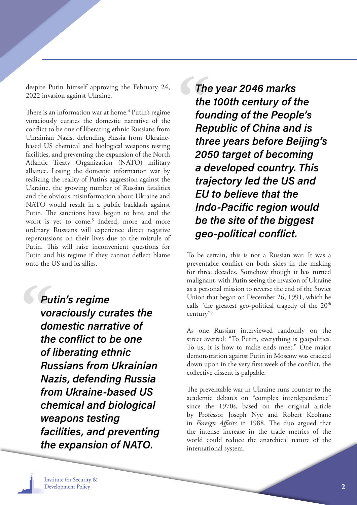despite Putin himself approving the February 24, 2022 invasion against Ukraine.

There is an information war at home.<sup>4</sup> Putin's regime voraciously curates the domestic narrative of the conflict to be one of liberating ethnic Russians from Ukrainian Nazis, defending Russia from Ukrainebased US chemical and biological weapons testing facilities, and preventing the expansion of the North Atlantic Treaty Organization (NATO) military alliance. Losing the domestic information war by realizing the reality of Putin's aggression against the Ukraine, the growing number of Russian fatalities and the obvious misinformation about Ukraine and NATO would result in a public backlash against Putin. The sanctions have begun to bite, and the worst is yet to come.<sup>5</sup> Indeed, more and more ordinary Russians will experience direct negative repercussions on their lives due to the misrule of Putin. This will raise inconvenient questions for Putin and his regime if they cannot deflect blame onto the US and its allies.

Putin's regime voraciously curates the domestic narrative of the conflict to be one of liberating ethnic Russians from Ukrainian Nazis, defending Russia from Ukraine-based US chemical and biological weapons testing facilities, and preventing the expansion of NATO.

The year 2046 marks the 100th century of the founding of the People's Republic of China and is three years before Beijing's 2050 target of becoming a developed country. This trajectory led the US and EU to believe that the Indo-Pacific region would be the site of the biggest geo-political conflict.

To be certain, this is not a Russian war. It was a preventable conflict on both sides in the making for three decades. Somehow though it has turned malignant, with Putin seeing the invasion of Ukraine as a personal mission to reverse the end of the Soviet Union that began on December 26, 1991, which he calls "the greatest geo-political tragedy of the  $20<sup>th</sup>$ century"6

As one Russian interviewed randomly on the street averred: "To Putin, everything is geopolitics. To us, it is how to make ends meet." One major demonstration against Putin in Moscow was cracked down upon in the very first week of the conflict, the collective dissent is palpable.

The preventable war in Ukraine runs counter to the academic debates on "complex interdependence" since the 1970s, based on the original article by Professor Joseph Nye and Robert Keohane in *Foreign Affairs* in 1988. The duo argued that the intense increase in the trade metrics of the world could reduce the anarchical nature of the international system.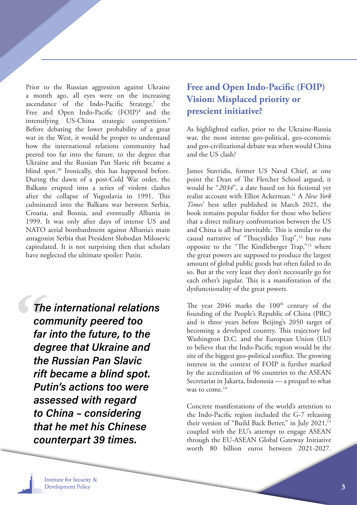Prior to the Russian aggression against Ukraine a month ago, all eyes were on the increasing ascendance of the Indo-Pacific Strategy,<sup>7</sup> the Free and Open Indo-Pacific (FOIP)<sup>8</sup> and the intensifying US-China strategic competition.<sup>9</sup> Before debating the lower probability of a great war in the West, it would be proper to understand how the international relations community had peered too far into the future, to the degree that Ukraine and the Russian Pan Slavic rift became a blind spot. <sup>10</sup> Ironically, this has happened before. During the dawn of a post-Cold War order, the Balkans erupted into a series of violent clashes after the collapse of Yugoslavia in 1991. This culminated into the Balkans war between Serbia, Croatia, and Bosnia, and eventually Albania in 1999. It was only after days of intense US and NATO aerial bombardment against Albania's main antagonist Serbia that President Slobodan Milosevic capitulated. It is not surprising then that scholars have neglected the ultimate spoiler: Putin.

The international relations community peered too far into the future, to the degree that Ukraine and the Russian Pan Slavic rift became a blind spot. Putin's actions too were assessed with regard to China – considering that he met his Chinese counterpart 39 times.

## **Free and Open Indo-Pacific (FOIP) Vision: Misplaced priority or prescient initiative?**

As highlighted earlier, prior to the Ukraine-Russia war, the most intense geo-political, geo-economic and geo-civilizational debate was when would China and the US clash?

James Stavridis, former US Naval Chief, at one point the Dean of The Fletcher School argued, it would be "*2034*", a date based on his fictional yet realist account with Elliot Ackerman.11 A *New York Times*' best seller published in March 2021, the book remains popular fodder for those who believe that a direct military confrontation between the US and China is all but inevitable. This is similar to the causal narrative of "Thucydides Trap",<sup>12</sup> but runs opposite to the "The Kindleberger Trap,"13 where the great powers are supposed to produce the largest amount of global public goods but often failed to do so. But at the very least they don't necessarily go for each other's jugular. This is a manifestation of the dysfunctionality of the great powers.

The year  $2046$  marks the  $100<sup>th</sup>$  century of the founding of the People's Republic of China (PRC) and is three years before Beijing's 2050 target of becoming a developed country. This trajectory led Washington D.C. and the European Union (EU) to believe that the Indo-Pacific region would be the site of the biggest geo-political conflict. The growing interest in the context of FOIP is further marked by the accreditation of 96 countries to the ASEAN Secretariat in Jakarta, Indonesia — a prequel to what was to come.<sup>14</sup>

Concrete manifestations of the world's attention to the Indo-Pacific region included the G-7 releasing their version of "Build Back Better," in July 2021,<sup>15</sup> coupled with the EU's attempt to engage ASEAN through the EU-ASEAN Global Gateway Initiative worth 80 billion euros between 2021-2027.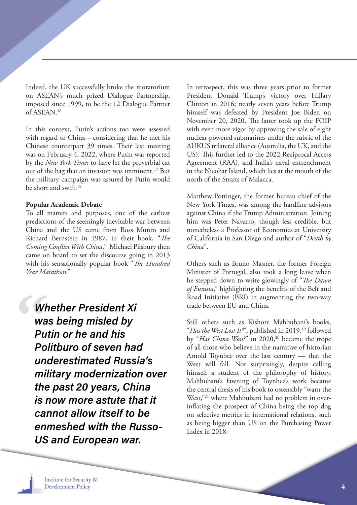Indeed, the UK successfully broke the moratorium on ASEAN's much prized Dialogue Partnership, imposed since 1999, to be the 12 Dialogue Partner of ASEAN.16

In this context, Putin's actions too were assessed with regard to China – considering that he met his Chinese counterpart 39 times. Their last meeting was on February 4, 2022, where Putin was reported by the *New York Times* to have let the proverbial cat out of the bag that an invasion was imminent.17 But the military campaign was assured by Putin would be short and swift.18

#### **Popular Academic Debate**

To all matters and purposes, one of the earliest predictions of the seemingly inevitable war between China and the US came from Ross Munro and Richard Bernstein in 1987, in their book, "*The Coming Conflict With China*." Michael Pilsbury then came on board to set the discourse going in 2013 with his sensationally popular book "*The Hundred Year Marathon*."

Whether President Xi was being misled by Putin or he and his Politburo of seven had underestimated Russia's military modernization over the past 20 years, China is now more astute that it cannot allow itself to be enmeshed with the Russo-US and European war.

In retrospect, this was three years prior to former President Donald Trump's victory over Hillary Clinton in 2016; nearly seven years before Trump himself was defeated by President Joe Biden on November 20, 2020. The latter took up the FOIP with even more vigor by approving the sale of eight nuclear powered submarines under the rubric of the AUKUS trilateral alliance (Australia, the UK, and the US). This further led to the 2022 Reciprocal Access Agreement (RAA), and India's naval entrenchment in the Nicobar Island, which lies at the mouth of the north of the Straits of Malacca.

Matthew Pottinger, the former bureau chief of the New York Times, was among the hardline advisors against China if the Trump Administration. Joining him was Peter Navarro, though less credible, but nonetheless a Professor of Economics at University of California in San Diego and author of "*Death by China*".

Others such as Bruno Masner, the former Foreign Minister of Portugal, also took a long leave when he stepped down to write glowingly of "*The Dawn of Eurasia*," highlighting the benefits of the Belt and Road Initiative (BRI) in augmenting the two-way trade between EU and China.

Still others such as Kishore Mahbubani's books, "*Has the West Lost It?*", published in 2019,<sup>19</sup> followed by "*Has China Won?*" in 2020,<sup>20</sup> became the trope of all those who believe in the narrative of historian Arnold Toynbee over the last century — that the West will fall. Not surprisingly, despite calling himself a student of the philosophy of history, Mahbubani's fawning of Toynbee's work became the central thesis of his book to ostensibly "warn the West,"<sup>21</sup> where Mahbubani had no problem in overinflating the prospect of China being the top dog on selective metrics in international relations, such as being bigger than US on the Purchasing Power Index in 2018.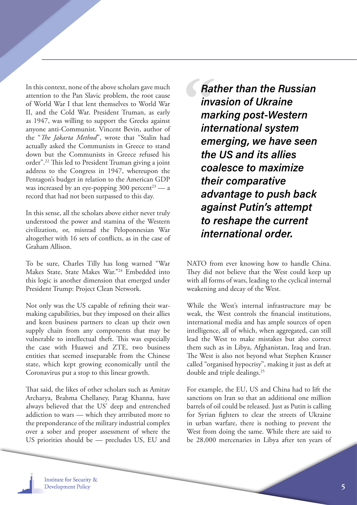In this context, none of the above scholars gave much attention to the Pan Slavic problem, the root cause of World War I that lent themselves to World War II, and the Cold War. President Truman, as early as 1947, was willing to support the Greeks against anyone anti-Communist. Vincent Bevin, author of the "*The Jakarta Method*", wrote that "Stalin had actually asked the Communists in Greece to stand down but the Communists in Greece refused his order".22 This led to President Truman giving a joint address to the Congress in 1947, whereupon the Pentagon's budget in relation to the American GDP was increased by an eye-popping  $300$  percent<sup>23</sup> — a record that had not been surpassed to this day.

In this sense, all the scholars above either never truly understood the power and stamina of the Western civilization, or, misread the Peloponnesian War altogether with 16 sets of conflicts, as in the case of Graham Allison.

To be sure, Charles Tilly has long warned "War Makes State, State Makes War."24 Embedded into this logic is another dimension that emerged under President Trump: Project Clean Network.

Not only was the US capable of refining their warmaking capabilities, but they imposed on their allies and keen business partners to clean up their own supply chain from any components that may be vulnerable to intellectual theft. This was especially the case with Huawei and ZTE, two business entities that seemed inseparable from the Chinese state, which kept growing economically until the Coronavirus put a stop to this linear growth.

That said, the likes of other scholars such as Amitav Archarya, Brahma Chellaney, Parag Khanna, have always believed that the US' deep and entrenched addiction to wars — which they attributed more to the preponderance of the military industrial complex over a sober and proper assessment of where the US priorities should be — precludes US, EU and Rather than the Russian invasion of Ukraine marking post-Western international system emerging, we have seen the US and its allies coalesce to maximize their comparative advantage to push back against Putin's attempt to reshape the current international order.

NATO from ever knowing how to handle China. They did not believe that the West could keep up with all forms of wars, leading to the cyclical internal weakening and decay of the West.

While the West's internal infrastructure may be weak, the West controls the financial institutions, international media and has ample sources of open intelligence, all of which, when aggregated, can still lead the West to make mistakes but also correct them such as in Libya, Afghanistan, Iraq and Iran. The West is also not beyond what Stephen Krasner called "organised hypocrisy", making it just as deft at double and triple dealings.25

For example, the EU, US and China had to lift the sanctions on Iran so that an additional one million barrels of oil could be released. Just as Putin is calling for Syrian fighters to clear the streets of Ukraine in urban warfare, there is nothing to prevent the West from doing the same. While there are said to be 28,000 mercenaries in Libya after ten years of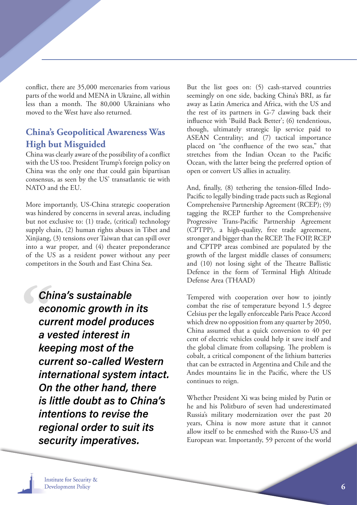conflict, there are 35,000 mercenaries from various parts of the world and MENA in Ukraine, all within less than a month. The 80,000 Ukrainians who moved to the West have also returned.

#### **China's Geopolitical Awareness Was High but Misguided**

China was clearly aware of the possibility of a conflict with the US too. President Trump's foreign policy on China was the only one that could gain bipartisan consensus, as seen by the US' transatlantic tie with NATO and the EU.

More importantly, US-China strategic cooperation was hindered by concerns in several areas, including but not exclusive to: (1) trade, (critical) technology supply chain, (2) human rights abuses in Tibet and Xinjiang, (3) tensions over Taiwan that can spill over into a war proper, and (4) theater preponderance of the US as a resident power without any peer competitors in the South and East China Sea.

China's sustainable economic growth in its current model produces a vested interest in keeping most of the current so-called Western international system intact. On the other hand, there is little doubt as to China's intentions to revise the regional order to suit its security imperatives.

But the list goes on: (5) cash-starved countries seemingly on one side, backing China's BRI, as far away as Latin America and Africa, with the US and the rest of its partners in G-7 clawing back their influence with 'Build Back Better'; (6) tendentious, though, ultimately strategic lip service paid to ASEAN Centrality; and (7) tactical importance placed on "the confluence of the two seas," that stretches from the Indian Ocean to the Pacific Ocean, with the latter being the preferred option of open or convert US allies in actuality.

And, finally, (8) tethering the tension-filled Indo-Pacific to legally binding trade pacts such as Regional Comprehensive Partnership Agreement (RCEP); (9) tagging the RCEP further to the Comprehensive Progressive Trans-Pacific Partnership Agreement (CPTPP), a high-quality, free trade agreement, stronger and bigger than the RCEP. The FOIP, RCEP and CPTPP areas combined are populated by the growth of the largest middle classes of consumers; and (10) not losing sight of the Theatre Ballistic Defence in the form of Terminal High Altitude Defense Area (THAAD)

Tempered with cooperation over how to jointly combat the rise of temperature beyond 1.5 degree Celsius per the legally enforceable Paris Peace Accord which drew no opposition from any quarter by 2050, China assumed that a quick conversion to 40 per cent of electric vehicles could help it save itself and the global climate from collapsing. The problem is cobalt, a critical component of the lithium batteries that can be extracted in Argentina and Chile and the Andes mountains lie in the Pacific, where the US continues to reign.

Whether President Xi was being misled by Putin or he and his Politburo of seven had underestimated Russia's military modernization over the past 20 years, China is now more astute that it cannot allow itself to be enmeshed with the Russo-US and European war. Importantly, 59 percent of the world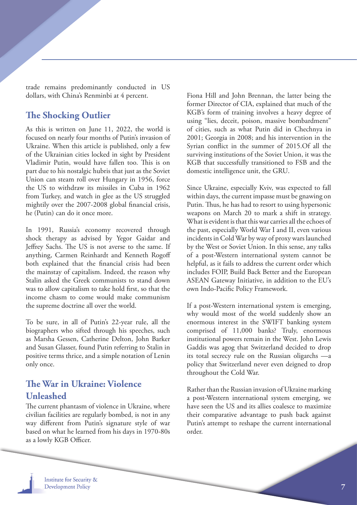trade remains predominantly conducted in US dollars, with China's Renminbi at 4 percent.

### **The Shocking Outlier**

As this is written on June 11, 2022, the world is focused on nearly four months of Putin's invasion of Ukraine. When this article is published, only a few of the Ukrainian cities locked in sight by President Vladimir Putin, would have fallen too. This is on part due to his nostalgic hubris that just as the Soviet Union can steam roll over Hungary in 1956, force the US to withdraw its missiles in Cuba in 1962 from Turkey, and watch in glee as the US struggled mightily over the 2007-2008 global financial crisis, he (Putin) can do it once more.

In 1991, Russia's economy recovered through shock therapy as advised by Yegor Gaidar and Jeffrey Sachs. The US is not averse to the same. If anything, Carmen Reinhardt and Kenneth Rogoff both explained that the financial crisis had been the mainstay of capitalism. Indeed, the reason why Stalin asked the Greek communists to stand down was to allow capitalism to take hold first, so that the income chasm to come would make communism the supreme doctrine all over the world.

To be sure, in all of Putin's 22-year rule, all the biographers who sifted through his speeches, such as Marsha Gessen, Catherine Delton, John Barker and Susan Glasser, found Putin referring to Stalin in positive terms thrice, and a simple notation of Lenin only once.

### **The War in Ukraine: Violence Unleashed**

The current phantasm of violence in Ukraine, where civilian facilities are regularly bombed, is not in any way different from Putin's signature style of war based on what he learned from his days in 1970-80s as a lowly KGB Officer.

Fiona Hill and John Brennan, the latter being the former Director of CIA, explained that much of the KGB's form of training involves a heavy degree of using "lies, deceit, poison, massive bombardment" of cities, such as what Putin did in Chechnya in 2001; Georgia in 2008; and his intervention in the Syrian conflict in the summer of 2015.Of all the surviving institutions of the Soviet Union, it was the KGB that successfully transitioned to FSB and the domestic intelligence unit, the GRU.

Since Ukraine, especially Kviv, was expected to fall within days, the current impasse must be gnawing on Putin. Thus, he has had to resort to using hypersonic weapons on March 20 to mark a shift in strategy. What is evident is that this war carries all the echoes of the past, especially World War I and II, even various incidents in Cold War by way of proxy wars launched by the West or Soviet Union. In this sense, any talks of a post-Western international system cannot be helpful, as it fails to address the current order which includes FOIP, Build Back Better and the European ASEAN Gateway Initiative, in addition to the EU's own Indo-Pacific Policy Framework.

If a post-Western international system is emerging, why would most of the world suddenly show an enormous interest in the SWIFT banking system comprised of 11,000 banks? Truly, enormous institutional powers remain in the West. John Lewis Gaddis was agog that Switzerland decided to drop its total secrecy rule on the Russian oligarchs —a policy that Switzerland never even deigned to drop throughout the Cold War.

Rather than the Russian invasion of Ukraine marking a post-Western international system emerging, we have seen the US and its allies coalesce to maximize their comparative advantage to push back against Putin's attempt to reshape the current international order.

**Institute for Security & Development Policy**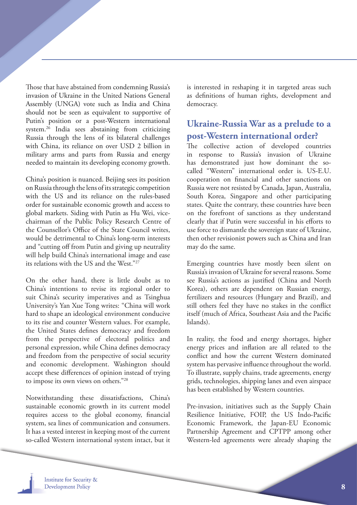Those that have abstained from condemning Russia's invasion of Ukraine in the United Nations General Assembly (UNGA) vote such as India and China should not be seen as equivalent to supportive of Putin's position or a post-Western international system. $26$  India sees abstaining from criticizing Russia through the lens of its bilateral challenges with China, its reliance on over USD 2 billion in military arms and parts from Russia and energy needed to maintain its developing economy growth.

China's position is nuanced. Beijing sees its position on Russia through the lens of its strategic competition with the US and its reliance on the rules-based order for sustainable economic growth and access to global markets. Siding with Putin as Hu Wei, vicechairman of the Public Policy Research Centre of the Counsellor's Office of the State Council writes, would be detrimental to China's long-term interests and "cutting off from Putin and giving up neutrality will help build China's international image and ease its relations with the US and the West."27

On the other hand, there is little doubt as to China's intentions to revise its regional order to suit China's security imperatives and as Tsinghua University's Yan Xue Tong writes: "China will work hard to shape an ideological environment conducive to its rise and counter Western values. For example, the United States defines democracy and freedom from the perspective of electoral politics and personal expression, while China defines democracy and freedom from the perspective of social security and economic development. Washington should accept these differences of opinion instead of trying to impose its own views on others."28

Notwithstanding these dissatisfactions, China's sustainable economic growth in its current model requires access to the global economy, financial system, sea lines of communication and consumers. It has a vested interest in keeping most of the current so-called Western international system intact, but it is interested in reshaping it in targeted areas such as definitions of human rights, development and democracy.

#### **Ukraine-Russia War as a prelude to a post-Western international order?**

The collective action of developed countries in response to Russia's invasion of Ukraine has demonstrated just how dominant the socalled "Western" international order is. US-E.U. cooperation on financial and other sanctions on Russia were not resisted by Canada, Japan, Australia, South Korea, Singapore and other participating states. Quite the contrary, these countries have been on the forefront of sanctions as they understand clearly that if Putin were successful in his efforts to use force to dismantle the sovereign state of Ukraine, then other revisionist powers such as China and Iran may do the same.

Emerging countries have mostly been silent on Russia's invasion of Ukraine for several reasons. Some see Russia's actions as justified (China and North Korea), others are dependent on Russian energy, fertilizers and resources (Hungary and Brazil), and still others feel they have no stakes in the conflict itself (much of Africa, Southeast Asia and the Pacific Islands).

In reality, the food and energy shortages, higher energy prices and inflation are all related to the conflict and how the current Western dominated system has pervasive influence throughout the world. To illustrate, supply chains, trade agreements, energy grids, technologies, shipping lanes and even airspace has been established by Western countries.

Pre-invasion, initiatives such as the Supply Chain Resilience Initiative, FOIP, the US Indo-Pacific Economic Framework, the Japan-EU Economic Partnership Agreement and CPTPP among other Western-led agreements were already shaping the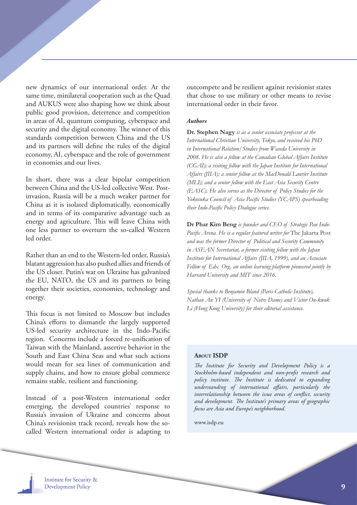new dynamics of our international order. At the same time, minilateral cooperation such as the Quad and AUKUS were also shaping how we think about public good provision, deterrence and competition in areas of AI, quantum computing, cyberspace and security and the digital economy. The winner of this standards competition between China and the US and its partners will define the rules of the digital economy, AI, cyberspace and the role of government in economies and our lives.

In short, there was a clear bipolar competition between China and the US-led collective West. Postinvasion, Russia will be a much weaker partner for China as it is isolated diplomatically, economically and in terms of its comparative advantage such as energy and agriculture. This will leave China with one less partner to overturn the so-called Western led order.

Rather than an end to the Western-led order, Russia's blatant aggression has also pushed allies and friends of the US closer. Putin's war on Ukraine has galvanized the EU, NATO, the US and its partners to bring together their societies, economies, technology and energy.

This focus is not limited to Moscow but includes China's efforts to dismantle the largely supported US-led security architecture in the Indo-Pacific region. Concerns include a forced re-unification of Taiwan with the Mainland, assertive behavior in the South and East China Seas and what such actions would mean for sea lines of communication and supply chains, and how to ensure global commerce remains stable, resilient and functioning.

Instead of a post-Western international order emerging, the developed countries' response to Russia's invasion of Ukraine and concerns about China's revisionist track record, reveals how the socalled Western international order is adapting to

outcompete and be resilient against revisionist states that chose to use military or other means to revise international order in their favor.

#### *Authors*

**Dr. Stephen Nagy** *is as a senior associate professor at the International Christian University, Tokyo, and received his PhD in International Relation/Studies from Waseda University in 2008. He is also a fellow at the Canadian Global Affairs Institute (CGAI); a visiting fellow with the Japan Institute for International Affairs (JIIA); a senior fellow at the MacDonald Laurier Institute (MLI); and a senior fellow with the East Asia Security Centre (EASC). He also serves as the Director of Policy Studies for the Yokosuka Council of Asia Pacific Studies (YCAPS) spearheading their Indo-Pacific Policy Dialogue series.*

**Dr Phar Kim Beng** *is founder and CEO of Strategic Pan Indo-Pacific Arena. He is a regular featured writer for* The Jakarta Post *and was the former Director of Political and Security Community in ASEAN Secretariat, a former visiting fellow with the Japan Institute for International Affairs (JIIA, 1999), and an Associate Fellow of Edx. Org, an online learning platform pioneered jointly by Harvard University and MIT since 2016.* 

*Special thanks to Benjamin Bland (Paris Catholic Institute), Nathan An YI (University of Notre Dame) and Victor On-kwok Li (Hong Kong University) for their editorial assistance.*

#### **ABOUT ISDP**

*The Institute for Security and Development Policy is a Stockholm-based independent and non-profit research and policy institute. The Institute is dedicated to expanding understanding of international affairs, particularly the interrelationship between the issue areas of conflict, security and development. The Institute's primary areas of geographic focus are Asia and Europe's neighborhood.* 

www.isdp.eu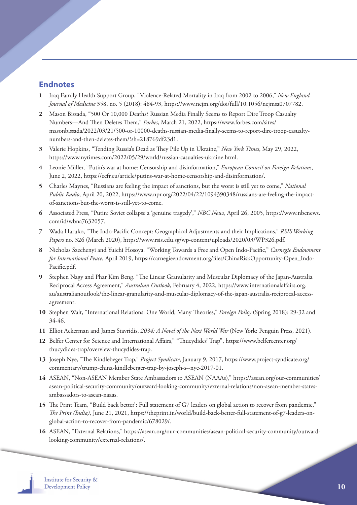#### **Endnotes**

- **1** Iraq Family Health Support Group, "Violence-Related Mortality in Iraq from 2002 to 2006," *New England Journal of Medicine* 358, no. 5 (2018): 484-93, https://www.nejm.org/doi/full/10.1056/nejmsa0707782.
- **2** Mason Bissada, "500 Or 10,000 Deaths? Russian Media Finally Seems to Report Dire Troop Casualty Numbers—And Then Deletes Them," *Forbes*, March 21, 2022, https://www.forbes.com/sites/ masonbissada/2022/03/21/500-or-10000-deaths-russian-media-finally-seems-to-report-dire-troop-casualtynumbers-and-then-deletes-them/?sh=218769df23d1.
- **3** Valerie Hopkins, "Tending Russia's Dead as They Pile Up in Ukraine," *New York Times*, May 29, 2022, https://www.nytimes.com/2022/05/29/world/russian-casualties-ukraine.html.
- **4** Leonie Müller, "Putin's war at home: Censorship and disinformation," *European Council on Foreign Relations*, June 2, 2022, https://ecfr.eu/article/putins-war-at-home-censorship-and-disinformation/.
- **5** Charles Maynes, "Russians are feeling the impact of sanctions, but the worst is still yet to come," *National Public Radio*, April 20, 2022, https://www.npr.org/2022/04/22/1094390348/russians-are-feeling-the-impactof-sanctions-but-the-worst-is-still-yet-to-come.
- **6** Associated Press, "Putin: Soviet collapse a 'genuine tragedy'," *NBC News*, April 26, 2005, https://www.nbcnews. com/id/wbna7632057.
- **7** Wada Haruko, "The Indo-Pacific Concept: Geographical Adjustments and their Implications," *RSIS Working Papers* no. 326 (March 2020), https://www.rsis.edu.sg/wp-content/uploads/2020/03/WP326.pdf.
- **8** Nicholas Szechenyi and Yuichi Hosoya. "Working Towards a Free and Open Indo-Pacific," *Carnegie Endowment for International Peace*, April 2019, https://carnegieendowment.org/files/ChinaRiskOpportunity-Open\_Indo-Pacific.pdf.
- **9** Stephen Nagy and Phar Kim Beng. "The Linear Granularity and Muscular Diplomacy of the Japan-Australia Reciprocal Access Agreement," *Australian Outlook*, February 4, 2022, https://www.internationalaffairs.org. au/australianoutlook/the-linear-granularity-and-muscular-diplomacy-of-the-japan-australia-reciprocal-accessagreement.
- **10** Stephen Walt, "International Relations: One World, Many Theories," *Foreign Policy* (Spring 2018): 29-32 and 34-46.
- **11** Elliot Ackerman and James Stavridis, *2034: A Novel of the Next World War* (New York: Penguin Press, 2021).
- **12** Belfer Center for Science and International Affairs," "Thucydides' Trap", https://www.belfercenter.org/ thucydides-trap/overview-thucydides-trap.
- **13** Joseph Nye, "The Kindlebeger Trap," *Project Syndicate*, January 9, 2017, https://www.project-syndicate.org/ commentary/trump-china-kindleberger-trap-by-joseph-s--nye-2017-01.
- **14** ASEAN, "Non-ASEAN Member State Ambassadors to ASEAN (NAAAs)," https://asean.org/our-communities/ asean-political-security-community/outward-looking-community/external-relations/non-asean-member-statesambassadors-to-asean-naaas.
- **15** The Print Team, "Build back better': Full statement of G7 leaders on global action to recover from pandemic," *The Print (India)*, June 21, 2021, https://theprint.in/world/build-back-better-full-statement-of-g7-leaders-onglobal-action-to-recover-from-pandemic/678029/.
- **16** ASEAN, "External Relations," https://asean.org/our-communities/asean-political-security-community/outwardlooking-community/external-relations/.